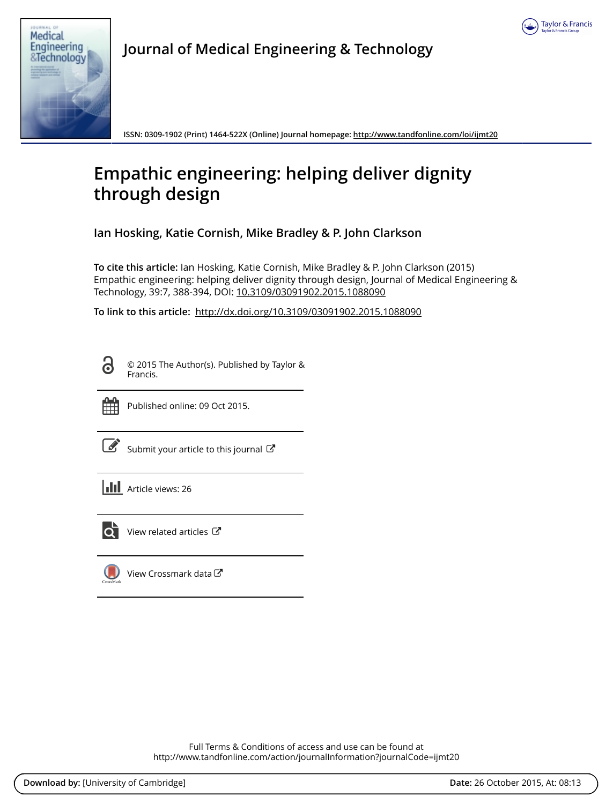



**Journal of Medical Engineering & Technology**

**ISSN: 0309-1902 (Print) 1464-522X (Online) Journal homepage: <http://www.tandfonline.com/loi/ijmt20>**

# **Empathic engineering: helping deliver dignity through design**

**Ian Hosking, Katie Cornish, Mike Bradley & P. John Clarkson**

**To cite this article:** Ian Hosking, Katie Cornish, Mike Bradley & P. John Clarkson (2015) Empathic engineering: helping deliver dignity through design, Journal of Medical Engineering & Technology, 39:7, 388-394, DOI: [10.3109/03091902.2015.1088090](http://www.tandfonline.com/action/showCitFormats?doi=10.3109/03091902.2015.1088090)

**To link to this article:** <http://dx.doi.org/10.3109/03091902.2015.1088090>

G

© 2015 The Author(s). Published by Taylor & Francis.



Published online: 09 Oct 2015.

[Submit your article to this journal](http://www.tandfonline.com/action/authorSubmission?journalCode=ijmt20&page=instructions)  $\mathbb{Z}$ 





View related articles

[View Crossmark data](http://crossmark.crossref.org/dialog/?doi=10.3109/03091902.2015.1088090&domain=pdf&date_stamp=2015-10-09)

Full Terms & Conditions of access and use can be found at <http://www.tandfonline.com/action/journalInformation?journalCode=ijmt20>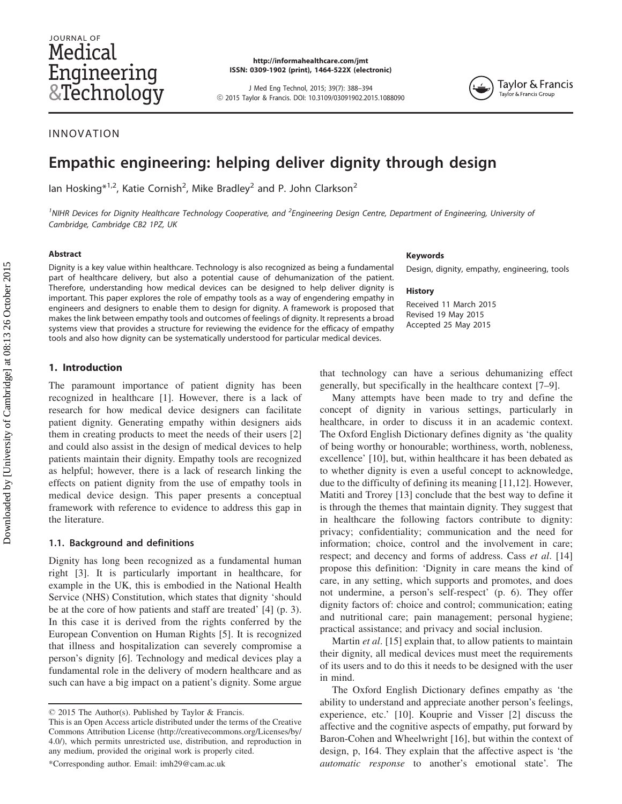# JOURNAL OF Medical Engineering &Technology

http://informahealthcare.com/jmt ISSN: 0309-1902 (print), 1464-522X (electronic)

J Med Eng Technol, 2015; 39(7): 388–394 ! 2015 Taylor & Francis. DOI: 10.3109/03091902.2015.1088090



# INNOVATION

# Empathic engineering: helping deliver dignity through design

lan Hosking $*^{1,2}$ , Katie Cornish<sup>2</sup>, Mike Bradley<sup>2</sup> and P. John Clarkson<sup>2</sup>

<sup>1</sup>NIHR Devices for Dignity Healthcare Technology Cooperative, and <sup>2</sup>Engineering Design Centre, Department of Engineering, University of Cambridge, Cambridge CB2 1PZ, UK

#### Abstract

Dignity is a key value within healthcare. Technology is also recognized as being a fundamental part of healthcare delivery, but also a potential cause of dehumanization of the patient. Therefore, understanding how medical devices can be designed to help deliver dignity is important. This paper explores the role of empathy tools as a way of engendering empathy in engineers and designers to enable them to design for dignity. A framework is proposed that makes the link between empathy tools and outcomes of feelings of dignity. It represents a broad systems view that provides a structure for reviewing the evidence for the efficacy of empathy tools and also how dignity can be systematically understood for particular medical devices.

# 1. Introduction

The paramount importance of patient dignity has been recognized in healthcare [[1\]](#page-7-0). However, there is a lack of research for how medical device designers can facilitate patient dignity. Generating empathy within designers aids them in creating products to meet the needs of their users [[2\]](#page-7-0) and could also assist in the design of medical devices to help patients maintain their dignity. Empathy tools are recognized as helpful; however, there is a lack of research linking the effects on patient dignity from the use of empathy tools in medical device design. This paper presents a conceptual framework with reference to evidence to address this gap in the literature.

### 1.1. Background and definitions

Dignity has long been recognized as a fundamental human right [[3\]](#page-7-0). It is particularly important in healthcare, for example in the UK, this is embodied in the National Health Service (NHS) Constitution, which states that dignity 'should be at the core of how patients and staff are treated' [\[4](#page-7-0)] (p. 3). In this case it is derived from the rights conferred by the European Convention on Human Rights [\[5](#page-7-0)]. It is recognized that illness and hospitalization can severely compromise a person's dignity [\[6](#page-7-0)]. Technology and medical devices play a fundamental role in the delivery of modern healthcare and as such can have a big impact on a patient's dignity. Some argue

#### Keywords

Design, dignity, empathy, engineering, tools

#### **History**

Received 11 March 2015 Revised 19 May 2015 Accepted 25 May 2015

that technology can have a serious dehumanizing effect generally, but specifically in the healthcare context [[7–9\]](#page-7-0).

Many attempts have been made to try and define the concept of dignity in various settings, particularly in healthcare, in order to discuss it in an academic context. The Oxford English Dictionary defines dignity as 'the quality of being worthy or honourable; worthiness, worth, nobleness, excellence' [\[10](#page-7-0)], but, within healthcare it has been debated as to whether dignity is even a useful concept to acknowledge, due to the difficulty of defining its meaning [\[11](#page-7-0),[12\]](#page-7-0). However, Matiti and Trorey [\[13](#page-7-0)] conclude that the best way to define it is through the themes that maintain dignity. They suggest that in healthcare the following factors contribute to dignity: privacy; confidentiality; communication and the need for information; choice, control and the involvement in care; respect; and decency and forms of address. Cass et al. [[14\]](#page-7-0) propose this definition: 'Dignity in care means the kind of care, in any setting, which supports and promotes, and does not undermine, a person's self-respect' (p. 6). They offer dignity factors of: choice and control; communication; eating and nutritional care; pain management; personal hygiene; practical assistance; and privacy and social inclusion.

Martin *et al.* [\[15](#page-7-0)] explain that, to allow patients to maintain their dignity, all medical devices must meet the requirements of its users and to do this it needs to be designed with the user in mind.

The Oxford English Dictionary defines empathy as 'the ability to understand and appreciate another person's feelings, experience, etc.' [\[10](#page-7-0)]. Kouprie and Visser [\[2](#page-7-0)] discuss the affective and the cognitive aspects of empathy, put forward by Baron-Cohen and Wheelwright [\[16](#page-7-0)], but within the context of design, p, 164. They explain that the affective aspect is 'the automatic response to another's emotional state'. The

<sup>© 2015</sup> The Author(s). Published by Taylor & Francis.

This is an Open Access article distributed under the terms of the Creative Commons Attribution License (http://creativecommons.org/Licenses/by/ 4.0/), which permits unrestricted use, distribution, and reproduction in any medium, provided the original work is properly cited.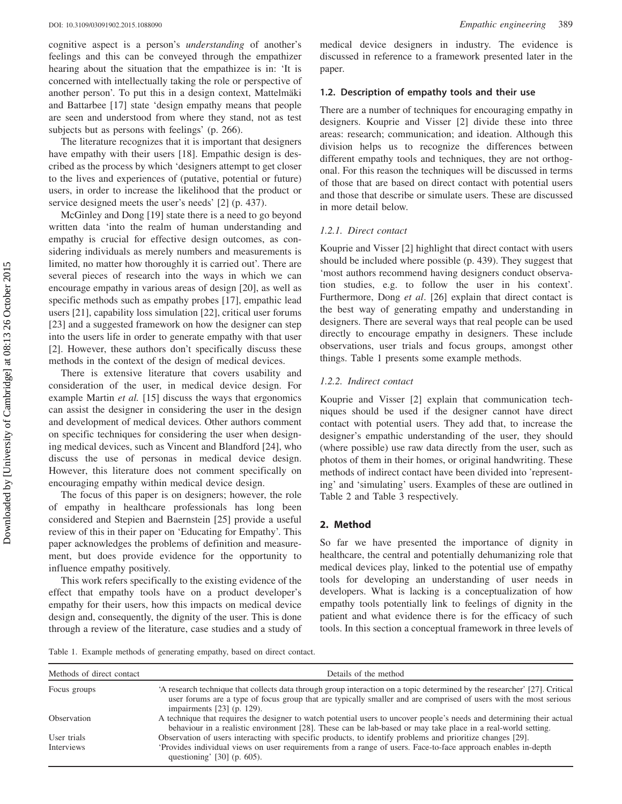cognitive aspect is a person's understanding of another's feelings and this can be conveyed through the empathizer hearing about the situation that the empathizee is in: 'It is concerned with intellectually taking the role or perspective of another person'. To put this in a design context, Mattelmäki and Battarbee [\[17](#page-7-0)] state 'design empathy means that people are seen and understood from where they stand, not as test subjects but as persons with feelings' (p. 266).

The literature recognizes that it is important that designers have empathy with their users [\[18](#page-7-0)]. Empathic design is described as the process by which 'designers attempt to get closer to the lives and experiences of (putative, potential or future) users, in order to increase the likelihood that the product or service designed meets the user's needs' [\[2](#page-7-0)] (p. 437).

McGinley and Dong [\[19](#page-7-0)] state there is a need to go beyond written data 'into the realm of human understanding and empathy is crucial for effective design outcomes, as considering individuals as merely numbers and measurements is limited, no matter how thoroughly it is carried out'. There are several pieces of research into the ways in which we can encourage empathy in various areas of design [[20\]](#page-7-0), as well as specific methods such as empathy probes [[17\]](#page-7-0), empathic lead users [\[21\]](#page-7-0), capability loss simulation [[22\]](#page-7-0), critical user forums [\[23](#page-7-0)] and a suggested framework on how the designer can step into the users life in order to generate empathy with that user [\[2](#page-7-0)]. However, these authors don't specifically discuss these methods in the context of the design of medical devices.

There is extensive literature that covers usability and consideration of the user, in medical device design. For example Martin et al. [\[15](#page-7-0)] discuss the ways that ergonomics can assist the designer in considering the user in the design and development of medical devices. Other authors comment on specific techniques for considering the user when designing medical devices, such as Vincent and Blandford [[24](#page-7-0)], who discuss the use of personas in medical device design. However, this literature does not comment specifically on encouraging empathy within medical device design.

The focus of this paper is on designers; however, the role of empathy in healthcare professionals has long been considered and Stepien and Baernstein [\[25](#page-7-0)] provide a useful review of this in their paper on 'Educating for Empathy'. This paper acknowledges the problems of definition and measurement, but does provide evidence for the opportunity to influence empathy positively.

This work refers specifically to the existing evidence of the effect that empathy tools have on a product developer's empathy for their users, how this impacts on medical device design and, consequently, the dignity of the user. This is done through a review of the literature, case studies and a study of medical device designers in industry. The evidence is discussed in reference to a framework presented later in the paper.

# 1.2. Description of empathy tools and their use

There are a number of techniques for encouraging empathy in designers. Kouprie and Visser [\[2](#page-7-0)] divide these into three areas: research; communication; and ideation. Although this division helps us to recognize the differences between different empathy tools and techniques, they are not orthogonal. For this reason the techniques will be discussed in terms of those that are based on direct contact with potential users and those that describe or simulate users. These are discussed in more detail below.

#### 1.2.1. Direct contact

Kouprie and Visser [\[2](#page-7-0)] highlight that direct contact with users should be included where possible (p. 439). They suggest that 'most authors recommend having designers conduct observation studies, e.g. to follow the user in his context'. Furthermore, Dong et al. [\[26](#page-7-0)] explain that direct contact is the best way of generating empathy and understanding in designers. There are several ways that real people can be used directly to encourage empathy in designers. These include observations, user trials and focus groups, amongst other things. Table 1 presents some example methods.

## 1.2.2. Indirect contact

Kouprie and Visser [[2\]](#page-7-0) explain that communication techniques should be used if the designer cannot have direct contact with potential users. They add that, to increase the designer's empathic understanding of the user, they should (where possible) use raw data directly from the user, such as photos of them in their homes, or original handwriting. These methods of indirect contact have been divided into 'representing' and 'simulating' users. Examples of these are outlined in [Table 2](#page-3-0) and [Table 3](#page-3-0) respectively.

# 2. Method

So far we have presented the importance of dignity in healthcare, the central and potentially dehumanizing role that medical devices play, linked to the potential use of empathy tools for developing an understanding of user needs in developers. What is lacking is a conceptualization of how empathy tools potentially link to feelings of dignity in the patient and what evidence there is for the efficacy of such tools. In this section a conceptual framework in three levels of

Table 1. Example methods of generating empathy, based on direct contact.

| Methods of direct contact | Details of the method                                                                                                                                                                                                                                                           |  |
|---------------------------|---------------------------------------------------------------------------------------------------------------------------------------------------------------------------------------------------------------------------------------------------------------------------------|--|
| Focus groups              | 'A research technique that collects data through group interaction on a topic determined by the researcher' [27]. Critical<br>user forums are a type of focus group that are typically smaller and are comprised of users with the most serious<br>impairments $[23]$ (p. 129). |  |
| <b>Observation</b>        | A technique that requires the designer to watch potential users to uncover people's needs and determining their actual<br>behaviour in a realistic environment [28]. These can be lab-based or may take place in a real-world setting.                                          |  |
| User trials               | Observation of users interacting with specific products, to identify problems and prioritize changes [29].                                                                                                                                                                      |  |
| Interviews                | Provides individual views on user requirements from a range of users. Face-to-face approach enables in-depth<br>questioning' $[30]$ (p. 605).                                                                                                                                   |  |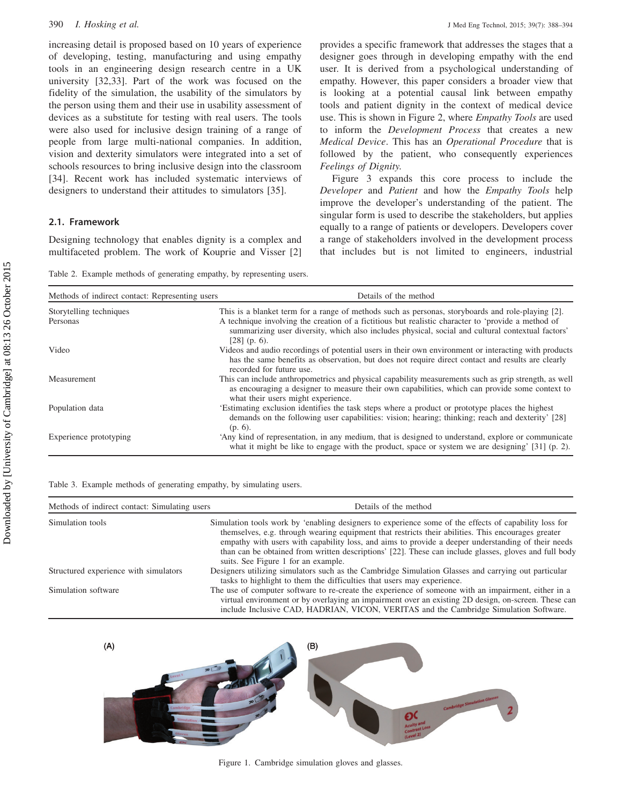<span id="page-3-0"></span>increasing detail is proposed based on 10 years of experience of developing, testing, manufacturing and using empathy tools in an engineering design research centre in a UK university [[32,33](#page-7-0)]. Part of the work was focused on the fidelity of the simulation, the usability of the simulators by the person using them and their use in usability assessment of devices as a substitute for testing with real users. The tools were also used for inclusive design training of a range of people from large multi-national companies. In addition, vision and dexterity simulators were integrated into a set of schools resources to bring inclusive design into the classroom [\[34](#page-7-0)]. Recent work has included systematic interviews of designers to understand their attitudes to simulators [\[35](#page-7-0)].

# 2.1. Framework

Designing technology that enables dignity is a complex and multifaceted problem. The work of Kouprie and Visser [[2\]](#page-7-0)

provides a specific framework that addresses the stages that a designer goes through in developing empathy with the end user. It is derived from a psychological understanding of empathy. However, this paper considers a broader view that is looking at a potential causal link between empathy tools and patient dignity in the context of medical device use. This is shown in [Figure 2](#page-4-0), where *Empathy Tools* are used to inform the Development Process that creates a new Medical Device. This has an Operational Procedure that is followed by the patient, who consequently experiences Feelings of Dignity.

[Figure 3](#page-4-0) expands this core process to include the Developer and Patient and how the Empathy Tools help improve the developer's understanding of the patient. The singular form is used to describe the stakeholders, but applies equally to a range of patients or developers. Developers cover a range of stakeholders involved in the development process that includes but is not limited to engineers, industrial

Table 2. Example methods of generating empathy, by representing users.

| Methods of indirect contact: Representing users | Details of the method                                                                                                                                                                                                                                                                                                          |
|-------------------------------------------------|--------------------------------------------------------------------------------------------------------------------------------------------------------------------------------------------------------------------------------------------------------------------------------------------------------------------------------|
| Storytelling techniques<br>Personas             | This is a blanket term for a range of methods such as personas, storyboards and role-playing [2].<br>A technique involving the creation of a fictitious but realistic character to 'provide a method of<br>summarizing user diversity, which also includes physical, social and cultural contextual factors'<br>$[28]$ (p. 6). |
| Video                                           | Videos and audio recordings of potential users in their own environment or interacting with products<br>has the same benefits as observation, but does not require direct contact and results are clearly<br>recorded for future use.                                                                                          |
| Measurement                                     | This can include anthropometrics and physical capability measurements such as grip strength, as well<br>as encouraging a designer to measure their own capabilities, which can provide some context to<br>what their users might experience.                                                                                   |
| Population data                                 | Estimating exclusion identifies the task steps where a product or prototype places the highest<br>demands on the following user capabilities: vision; hearing; thinking; reach and dexterity' [28]<br>$(p. 6)$ .                                                                                                               |
| Experience prototyping                          | 'Any kind of representation, in any medium, that is designed to understand, explore or communicate<br>what it might be like to engage with the product, space or system we are designing' $[31]$ (p. 2).                                                                                                                       |

#### Table 3. Example methods of generating empathy, by simulating users.

| Methods of indirect contact: Simulating users | Details of the method                                                                                                                                                                                                                                                                                                                                                                                                                                             |
|-----------------------------------------------|-------------------------------------------------------------------------------------------------------------------------------------------------------------------------------------------------------------------------------------------------------------------------------------------------------------------------------------------------------------------------------------------------------------------------------------------------------------------|
| Simulation tools                              | Simulation tools work by 'enabling designers to experience some of the effects of capability loss for<br>themselves, e.g. through wearing equipment that restricts their abilities. This encourages greater<br>empathy with users with capability loss, and aims to provide a deeper understanding of their needs<br>than can be obtained from written descriptions' [22]. These can include glasses, gloves and full body<br>suits. See Figure 1 for an example. |
| Structured experience with simulators         | Designers utilizing simulators such as the Cambridge Simulation Glasses and carrying out particular<br>tasks to highlight to them the difficulties that users may experience.                                                                                                                                                                                                                                                                                     |
| Simulation software                           | The use of computer software to re-create the experience of someone with an impairment, either in a<br>virtual environment or by overlaying an impairment over an existing 2D design, on-screen. These can<br>include Inclusive CAD, HADRIAN, VICON, VERITAS and the Cambridge Simulation Software.                                                                                                                                                               |



Figure 1. Cambridge simulation gloves and glasses.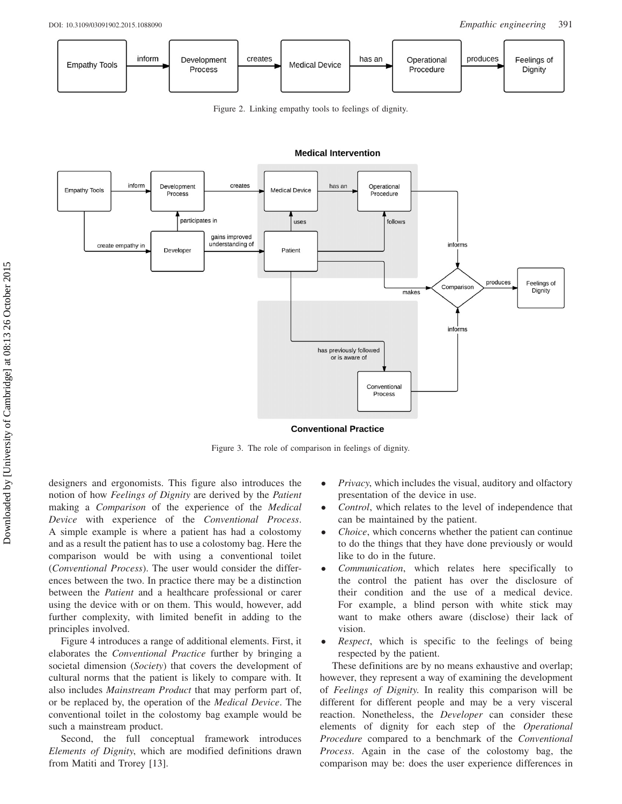<span id="page-4-0"></span>

Figure 2. Linking empathy tools to feelings of dignity.



#### **Medical Intervention**

**Conventional Practice** 

Figure 3. The role of comparison in feelings of dignity.

designers and ergonomists. This figure also introduces the notion of how Feelings of Dignity are derived by the Patient making a Comparison of the experience of the Medical Device with experience of the Conventional Process. A simple example is where a patient has had a colostomy and as a result the patient has to use a colostomy bag. Here the comparison would be with using a conventional toilet (Conventional Process). The user would consider the differences between the two. In practice there may be a distinction between the Patient and a healthcare professional or carer using the device with or on them. This would, however, add further complexity, with limited benefit in adding to the principles involved.

[Figure 4](#page-5-0) introduces a range of additional elements. First, it elaborates the Conventional Practice further by bringing a societal dimension (Society) that covers the development of cultural norms that the patient is likely to compare with. It also includes Mainstream Product that may perform part of, or be replaced by, the operation of the Medical Device. The conventional toilet in the colostomy bag example would be such a mainstream product.

Second, the full conceptual framework introduces Elements of Dignity, which are modified definitions drawn from Matiti and Trorey [\[13](#page-7-0)].

- $\bullet$  Privacy, which includes the visual, auditory and olfactory presentation of the device in use.
- $\bullet$  Control, which relates to the level of independence that can be maintained by the patient.
- $\bullet$  Choice, which concerns whether the patient can continue to do the things that they have done previously or would like to do in the future.
- $\bullet$  Communication, which relates here specifically to the control the patient has over the disclosure of their condition and the use of a medical device. For example, a blind person with white stick may want to make others aware (disclose) their lack of vision.
- $\bullet$  Respect, which is specific to the feelings of being respected by the patient.

These definitions are by no means exhaustive and overlap; however, they represent a way of examining the development of Feelings of Dignity. In reality this comparison will be different for different people and may be a very visceral reaction. Nonetheless, the Developer can consider these elements of dignity for each step of the Operational Procedure compared to a benchmark of the Conventional Process. Again in the case of the colostomy bag, the comparison may be: does the user experience differences in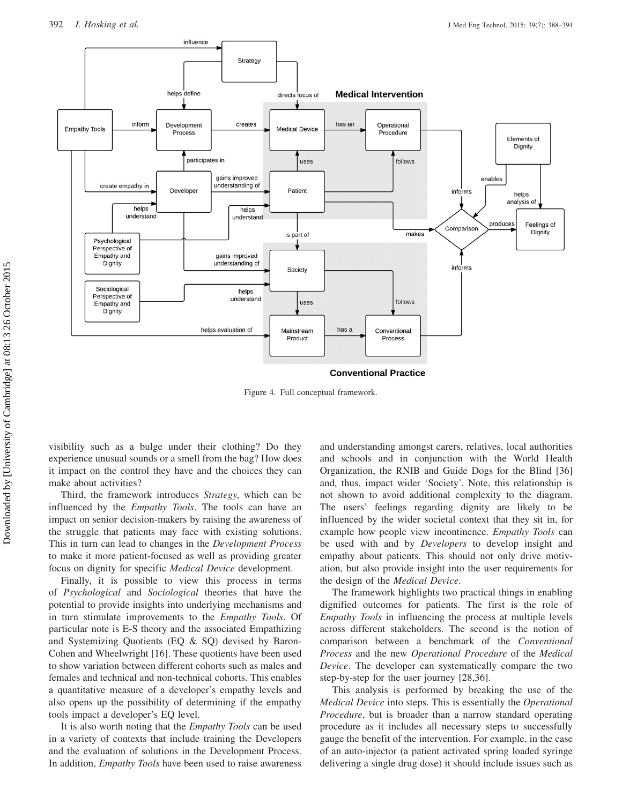<span id="page-5-0"></span>

Figure 4. Full conceptual framework.

visibility such as a bulge under their clothing? Do they experience unusual sounds or a smell from the bag? How does it impact on the control they have and the choices they can make about activities?

Third, the framework introduces Strategy, which can be influenced by the *Empathy Tools*. The tools can have an impact on senior decision-makers by raising the awareness of the struggle that patients may face with existing solutions. This in turn can lead to changes in the Development Process to make it more patient-focused as well as providing greater focus on dignity for specific Medical Device development.

Finally, it is possible to view this process in terms of Psychological and Sociological theories that have the potential to provide insights into underlying mechanisms and in turn stimulate improvements to the *Empathy Tools*. Of particular note is E-S theory and the associated Empathizing and Systemizing Quotients (EQ & SQ) devised by Baron-Cohen and Wheelwright [[16](#page-7-0)]. These quotients have been used to show variation between different cohorts such as males and females and technical and non-technical cohorts. This enables a quantitative measure of a developer's empathy levels and also opens up the possibility of determining if the empathy tools impact a developer's EQ level.

It is also worth noting that the Empathy Tools can be used in a variety of contexts that include training the Developers and the evaluation of solutions in the Development Process. In addition, *Empathy Tools* have been used to raise awareness and understanding amongst carers, relatives, local authorities and schools and in conjunction with the World Health Organization, the RNIB and Guide Dogs for the Blind [[36\]](#page-7-0) and, thus, impact wider 'Society'. Note, this relationship is not shown to avoid additional complexity to the diagram. The users' feelings regarding dignity are likely to be influenced by the wider societal context that they sit in, for example how people view incontinence. Empathy Tools can be used with and by *Developers* to develop insight and empathy about patients. This should not only drive motivation, but also provide insight into the user requirements for the design of the Medical Device.

The framework highlights two practical things in enabling dignified outcomes for patients. The first is the role of Empathy Tools in influencing the process at multiple levels across different stakeholders. The second is the notion of comparison between a benchmark of the Conventional Process and the new Operational Procedure of the Medical Device. The developer can systematically compare the two step-by-step for the user journey [\[28](#page-7-0),[36\]](#page-7-0).

This analysis is performed by breaking the use of the Medical Device into steps. This is essentially the Operational Procedure, but is broader than a narrow standard operating procedure as it includes all necessary steps to successfully gauge the benefit of the intervention. For example, in the case of an auto-injector (a patient activated spring loaded syringe delivering a single drug dose) it should include issues such as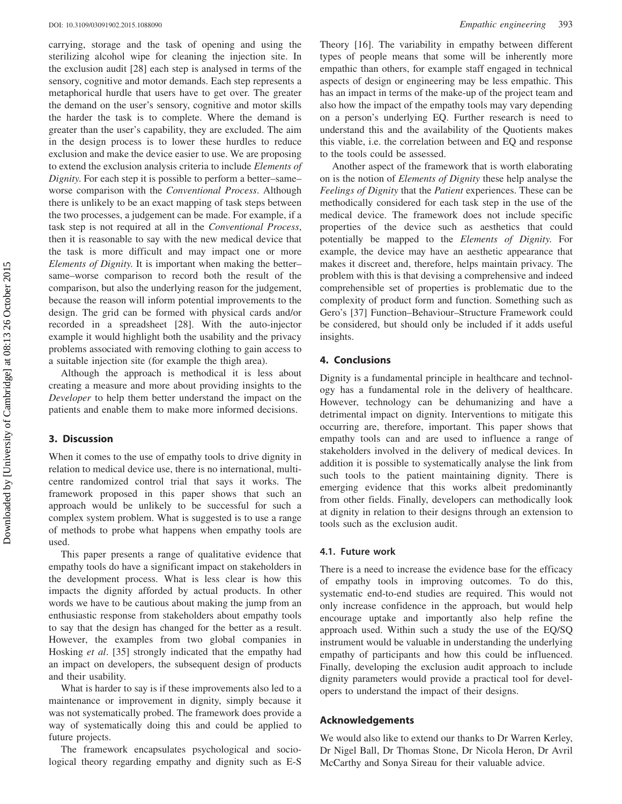carrying, storage and the task of opening and using the sterilizing alcohol wipe for cleaning the injection site. In the exclusion audit [[28\]](#page-7-0) each step is analysed in terms of the sensory, cognitive and motor demands. Each step represents a metaphorical hurdle that users have to get over. The greater the demand on the user's sensory, cognitive and motor skills the harder the task is to complete. Where the demand is greater than the user's capability, they are excluded. The aim in the design process is to lower these hurdles to reduce exclusion and make the device easier to use. We are proposing to extend the exclusion analysis criteria to include Elements of Dignity. For each step it is possible to perform a better–same– worse comparison with the Conventional Process. Although there is unlikely to be an exact mapping of task steps between the two processes, a judgement can be made. For example, if a task step is not required at all in the Conventional Process, then it is reasonable to say with the new medical device that the task is more difficult and may impact one or more Elements of Dignity. It is important when making the better– same–worse comparison to record both the result of the comparison, but also the underlying reason for the judgement, because the reason will inform potential improvements to the design. The grid can be formed with physical cards and/or recorded in a spreadsheet [[28\]](#page-7-0). With the auto-injector example it would highlight both the usability and the privacy problems associated with removing clothing to gain access to a suitable injection site (for example the thigh area).

Although the approach is methodical it is less about creating a measure and more about providing insights to the Developer to help them better understand the impact on the patients and enable them to make more informed decisions.

# 3. Discussion

When it comes to the use of empathy tools to drive dignity in relation to medical device use, there is no international, multicentre randomized control trial that says it works. The framework proposed in this paper shows that such an approach would be unlikely to be successful for such a complex system problem. What is suggested is to use a range of methods to probe what happens when empathy tools are used.

This paper presents a range of qualitative evidence that empathy tools do have a significant impact on stakeholders in the development process. What is less clear is how this impacts the dignity afforded by actual products. In other words we have to be cautious about making the jump from an enthusiastic response from stakeholders about empathy tools to say that the design has changed for the better as a result. However, the examples from two global companies in Hosking et al. [[35\]](#page-7-0) strongly indicated that the empathy had an impact on developers, the subsequent design of products and their usability.

What is harder to say is if these improvements also led to a maintenance or improvement in dignity, simply because it was not systematically probed. The framework does provide a way of systematically doing this and could be applied to future projects.

The framework encapsulates psychological and sociological theory regarding empathy and dignity such as E-S Theory [[16\]](#page-7-0). The variability in empathy between different types of people means that some will be inherently more empathic than others, for example staff engaged in technical aspects of design or engineering may be less empathic. This has an impact in terms of the make-up of the project team and also how the impact of the empathy tools may vary depending on a person's underlying EQ. Further research is need to understand this and the availability of the Quotients makes this viable, i.e. the correlation between and EQ and response to the tools could be assessed.

Another aspect of the framework that is worth elaborating on is the notion of Elements of Dignity these help analyse the Feelings of Dignity that the Patient experiences. These can be methodically considered for each task step in the use of the medical device. The framework does not include specific properties of the device such as aesthetics that could potentially be mapped to the Elements of Dignity. For example, the device may have an aesthetic appearance that makes it discreet and, therefore, helps maintain privacy. The problem with this is that devising a comprehensive and indeed comprehensible set of properties is problematic due to the complexity of product form and function. Something such as Gero's [[37\]](#page-7-0) Function–Behaviour–Structure Framework could be considered, but should only be included if it adds useful insights.

### 4. Conclusions

Dignity is a fundamental principle in healthcare and technology has a fundamental role in the delivery of healthcare. However, technology can be dehumanizing and have a detrimental impact on dignity. Interventions to mitigate this occurring are, therefore, important. This paper shows that empathy tools can and are used to influence a range of stakeholders involved in the delivery of medical devices. In addition it is possible to systematically analyse the link from such tools to the patient maintaining dignity. There is emerging evidence that this works albeit predominantly from other fields. Finally, developers can methodically look at dignity in relation to their designs through an extension to tools such as the exclusion audit.

#### 4.1. Future work

There is a need to increase the evidence base for the efficacy of empathy tools in improving outcomes. To do this, systematic end-to-end studies are required. This would not only increase confidence in the approach, but would help encourage uptake and importantly also help refine the approach used. Within such a study the use of the EQ/SQ instrument would be valuable in understanding the underlying empathy of participants and how this could be influenced. Finally, developing the exclusion audit approach to include dignity parameters would provide a practical tool for developers to understand the impact of their designs.

#### Acknowledgements

We would also like to extend our thanks to Dr Warren Kerley, Dr Nigel Ball, Dr Thomas Stone, Dr Nicola Heron, Dr Avril McCarthy and Sonya Sireau for their valuable advice.